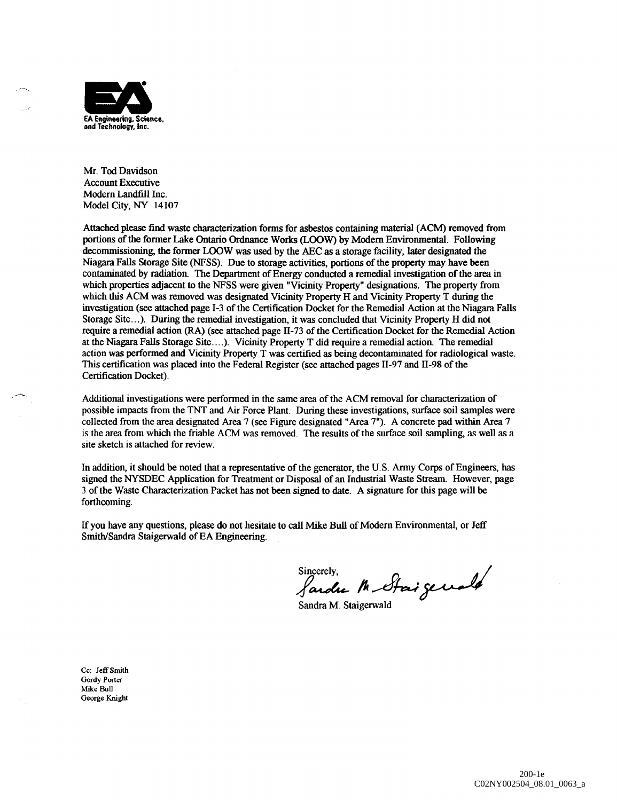

Mr. Tod Davidson Account Executive Modern Landfill Inc. Model City, NY 14107

Attached please find waste characterization forms for asbestos containing material (ACM) removed from portions of the former Lake Ontario Ordnance Works (LOOW) by Modern Environmental. Following decommissioning, the former LOOW was used by the AEC as a storage facility, later designated the Niagara Falls Storage Site (NFSS). Due to storage activities, portions of the property may have been contaminated by radiation. The Department of Energy conducted a remedial investigation of the area in which properties adjacent to the NFSS were given "Vicinity Property" designations. The property from which this ACM was removed was designated Vicinity Property H and Vicinity Property T during the investigation (see attached page 1-3 of the Certification Docket for the Remedial Action at the Niagara Falls Storage Site...). During the remedial investigation, it was concluded that Vicinity Property H did not require a remedial action (RA) (see attached page 11-73 of the Certification Docket for the Remedial Action at the Niagara Falls Storage Site....). Vicinity Property T did require a remedial action. The remedial action was performed and Vicinity Property T was certified as being decontaminated for radiological waste. This certification was placed into the Federal Register (see attached pages 11-97 and 11-98 of the Certification Docket).

Additional investigations were performed in the same area of the ACM removal for characterization of possible impacts from the TNT and Air Force Plant. During these investigations, surface soil samples were collected from the area designated Area 7 (see Figure designated "Area 7"). A concrete pad within Area 7 is the area from which the friable ACM was removed. The results of the surface soil sampling, as well as a site sketch is attached for review.

In addition, it should be noted that a representative of the generator, the U.S. Army Corps of Engineers, has signed the NYSDEC Application for Treatment or Disposal of an Industrial Waste Stream. However, page 3 of the Waste Characterization Packet has not been signed to date. A signature for this page will be forthcoming.

If you have any questions, please do not hesitate to call Mike Bull of Modern Environmental, or Jeff Smith/Sandra Staigerwald of EA Engineering.

Sincerely,<br>Sardre Mr Staigewald

Sandra M. Staigerwald

Cc: Jeff Smith Gordy Porter Mike Bull George Knight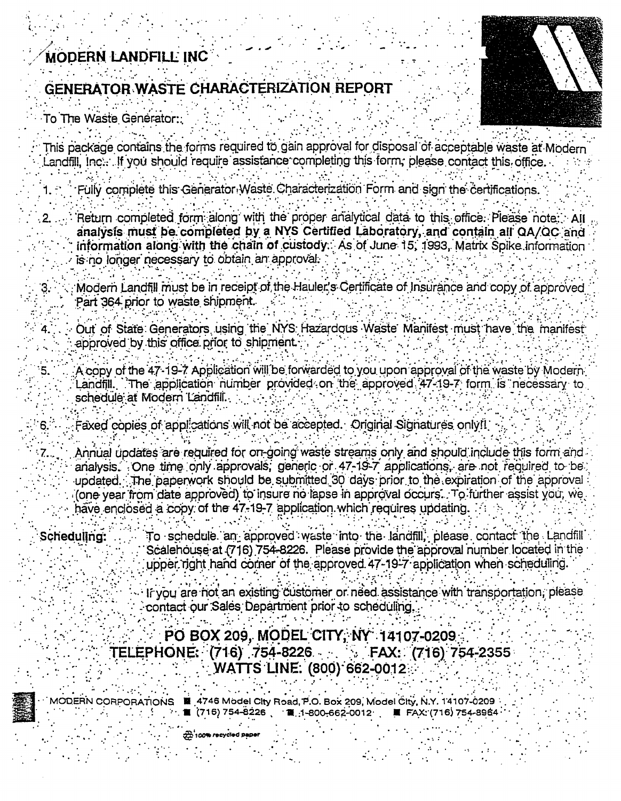# MODERN LANDFILL INC

# GENERATOR WASTE CHARACTERIZATION REPORT

To The Waste Generator:

٠5.



- This package contains the forms required to gain approval for disposal of acceptable waste at Modern Landfill. Inc... If you should require assistance completing this form, please contact this office.
	- Fully complete this Generator Waste Characterization Form and sign the certifications.
	- Return completed form along with the proper analytical data to this office. Please note: All analysis must be completed by a NYS Certified Laboratory, and contain all QA/QC and information along with the chain of custody. As of June 15, 1993. Matrix Spike information is no longer necessary to obtain an approval.
	- Modern Landfill must be in receipt of the Hauler's Certificate of Insurance and copy of approved Part 364 prior to waste shipment.
	- Out of State Generators using the NYS Hazardous Waste Manifest must have the manifest approved by this office prior to shipment.
	- A copy of the 47-19-7 Application will be forwarded to you upon approval of the waste by Modern Landfill. The application number provided on the approved 47-19-7 form is necessary to schedule at Modern Landfill.
	- Faxed copies of applications will not be accepted. Original Signatures only!!
	- Annual updates are required for on-going waste streams only and should include this form and analysis. One time only approvals, generic or 47-19-7 applications, are not required to be updated. The paperwork should be submitted 30 days prior to the expiration of the approval (one year from date approved) to insure no lapse in approval occurs. To further assist you, we have enclosed a copy of the 47-19-7 application which requires updating.
- Schedulling: To schedule an approved waste into the landfill, please contact the Landfill Scalehouse at (716) 754-8226. Please provide the approval number located in the upper right hand corner of the approved 47-19-7 application when scheduling.
	- If you are not an existing customer or need assistance with transportation, please contact our Sales Department prior to scheduling.
	- PO BOX 209, MODEL CITY, NY 14107-0209 TELEPHONE: (716) 754-8226  $FAX: (716) 754-2355$ **WATTS LINE: (800) 662-0012**
- - MODERN CORPORATIONS 4746 Model City Road, P.O. Box 209, Model City, N.Y. 14107-0209 ■ FAX: (716) 754-8964 . ■〔716) 754–8226 <sub>、</sub> ■ . 1–800–662–0012 ,
		-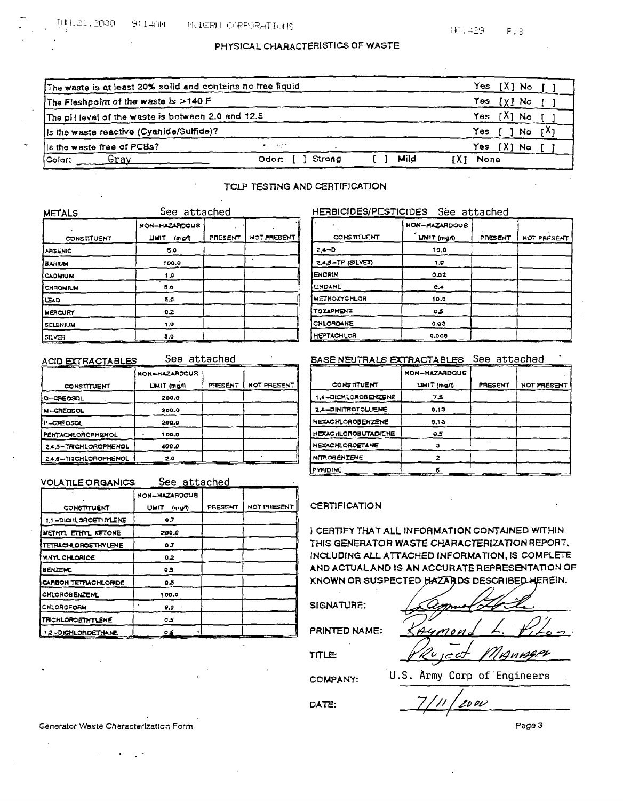# PHYSICAL CHARACTERISTICS OF WASTE

| The waste is at least 20% solld and contains no free liquid |                      |      | Yes                 |
|-------------------------------------------------------------|----------------------|------|---------------------|
| The Fleshpoint of the waste is >140 F                       |                      |      | Yes<br>[ X ]<br>No. |
| The pH level of the waste is between 2.0 and 12.5           |                      |      | Yes:                |
| Is the waste reactive (Cyanide/Sulfide)?                    |                      |      | Yes<br>No           |
| is the waste free of PCBs?                                  | <b>Service State</b> |      | Yes<br>. No         |
| Colar:<br>Grav                                              | Strong<br>Odor: I    | Mild | None                |

## TCLP TESTING AND CERTIFICATION

| <b>METALS</b>      | See attached            |         |             |
|--------------------|-------------------------|---------|-------------|
|                    | NON-HAZARDOUS           |         |             |
| <b>CONSTITUENT</b> | <b>LIMIT</b><br>(m g/l) | PRESENT | NOT PRESENT |
| <b>ARSENIC</b>     | 5.0                     |         |             |
| <b>BARIUM</b>      | 100.9                   |         |             |
| <b>CADNIUM</b>     | 1.0                     |         |             |
| CHROMIUM           | 5.0                     |         |             |
| LEAD               | 5.0                     |         |             |
| MERCURY            | 0.2                     |         |             |
| <b>SELENIUM</b>    | 1.0                     |         |             |
| SILVER.            | 5.0                     |         |             |

#### **ACID EXTRACTABLES**

See attached

|                       | NON-HAZARDOUS |         |                    |
|-----------------------|---------------|---------|--------------------|
| <b>CONSTITUENT</b>    | UMIT (mg/l)   | PRESENT | <b>NOT PRESENT</b> |
| 0-CREOSOL             | 200.0         |         |                    |
| <b>N-CREOSOL</b>      | 200.0         |         |                    |
| P-CREOSOL             | 200.0         |         |                    |
| PENTACHLOROPHENOL     | 100.D         |         |                    |
| 2.4.5-TRICHLOROPHENOL | 400.0         |         |                    |
| 2.4.6-TRICHLOROPHENOL | 2.0           |         |                    |

| <b>VOLATILE ORGANICS</b>  | See attached    |         |             |
|---------------------------|-----------------|---------|-------------|
|                           | NON-HAZARDOUS   |         |             |
| CONSTITUENT               | UMIT<br>(m, qn) | PRESENT | NOT PRESENT |
| 1.1-DICHLOROETHYLENE      | 0.7             |         |             |
| METHAT ETHAT KETONE       | 200.0           |         |             |
| TETFUCHLOROETHYLENE       | 0.7             |         |             |
| VINYL CHLOAIDE            | 0.2             |         |             |
| <b>BENZENE</b>            | cз              |         |             |
| CARBON TETRACHLORIDE      | 0.5             |         |             |
| CHLOROBENZENE             | 100.0           |         |             |
| CHLOROFORM                | 0.0             |         |             |
| TRICHLOROETHYLENE         | 05              |         |             |
| <b>1.2-DICHLOROETHANE</b> | 05              |         |             |

# HERBICIDES/PESTICIDES Sée attached

|                    | <b>NON-HAZARDOUS</b> |         |             |
|--------------------|----------------------|---------|-------------|
| <b>CONSTITUENT</b> | LINIT (mg/h)         | PAESENT | NOT PRESENT |
| $24 - D$           | 10,0                 |         |             |
| 2.4.5-TP (SILVET)  | 1.0                  |         |             |
| <b>ENDRIN</b>      | 2ھ ہ                 |         |             |
| <b>UNDANE</b>      | 0.4                  |         |             |
| METHOXYCHLOR       | 10.0                 |         |             |
| <b>TOXAPHENE</b>   | 0.5                  |         |             |
| CHLORDANE          | 0.03                 |         |             |
| <b>HEPTACHLOR</b>  | 0.008                |         |             |

# BASE NEUTRALS EXTRACTABLES See attached

|                            | <b>NON-HAZARDOUS</b> |         |             |
|----------------------------|----------------------|---------|-------------|
| <b>CONSTITUENT</b>         | LIMIT (mg/l)         | PRESENT | NOT PRESENT |
| 1.4-DICHLOROBENZENÉ        | 75                   |         |             |
| 2.4-DINITROTOLUENE         | 0.13                 |         |             |
| <b>HEXACHLOROBENZENE</b>   | 0.13                 |         |             |
| <b>HEXACHLOROBUTADIENE</b> | 05                   |         |             |
| <b>HEXACHLOROETANE</b>     |                      |         |             |
| <b>NITROBENZENE</b>        |                      |         |             |
| PYRIDINE                   |                      |         |             |

## **CERTIFICATION**

I CERTIFY THAT ALL INFORMATION CONTAINED WITHIN THIS GENERATOR WASTE CHARACTERIZATION REPORT. INCLUDING ALL ATTACHED INFORMATION, IS COMPLETE AND ACTUAL AND IS AN ACCURATE REPRESENTATION OF KNOWN OR SUSPECTED HAZARDS DESCRIBED HEREIN.

#### SIGNATURE:

PRINTED NAME:

Annger 7ج م

**TITLE:** 

**COMPANY:** 

DATE:

U.S. Army Corp of Engineers

2000

Generator Waste Characterization Form

Page 3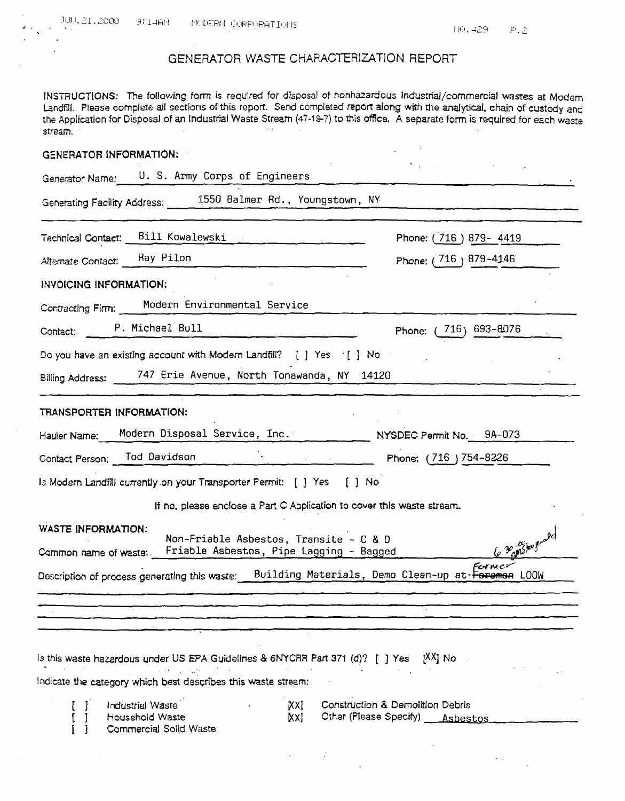# GENERATOR WASTE CHARACTERIZATION REPORT

INSTRUCTIONS: The following form is required for disposal of nonhazardous industrial/commercial wastes at Modem Landfill. Please complete all sections of this report. Send completed report along with the analytical, chain of custody and the Application for Disposal of an Industrial Waste Stream (47-19-7) to this office, A separate form is required for each waste stream.  $\mathbf{r}$  .

| <b>GENERATOR INFORMATION:</b>                                                                                                                                |                                                                                   |
|--------------------------------------------------------------------------------------------------------------------------------------------------------------|-----------------------------------------------------------------------------------|
| Generator Name: U.S. Army Corps of Engineers                                                                                                                 |                                                                                   |
| Generating Facility Address: _____ 1550 Balmer Rd., Youngstown, NY                                                                                           |                                                                                   |
| Technical Contact: Bill Kowalewski                                                                                                                           | Phone: (716) 879-4419                                                             |
| Altemate Contact: Ray Pilon                                                                                                                                  | Phone: (716) 879-4146                                                             |
| <b>INVOICING INFORMATION:</b>                                                                                                                                |                                                                                   |
| Contracting Firm: Modern Environmental Service                                                                                                               |                                                                                   |
| Contact: P. Michael Bull                                                                                                                                     | Phone: (716) 693-8076                                                             |
| Do you have an existing account with Modern Landfill? [ ] Yes [ ] No                                                                                         |                                                                                   |
| Billing Address: 747 Erie Avenue, North Tonawanda, NY 14120                                                                                                  |                                                                                   |
| TRANSPORTER INFORMATION:<br>Hauler Name: Modern Disposal Service, Inc. _ _ _ _ _ NYSDEC Permit No. 9A-073                                                    |                                                                                   |
| Contact Person; Tod Davidson Phone: (716) 754-8226                                                                                                           |                                                                                   |
| Is Modern Landfill currently on your Transporter Permit: [ ] Yes [ ] No                                                                                      |                                                                                   |
| If no, please enclose a Part C Application to cover this waste stream.                                                                                       |                                                                                   |
| <b>WASTE INFORMATION:</b><br>Non-Friable Asbestos, Transite - C & D<br>Common name of waste: Friable Asbestos, Pipe Lagging - Bagged                         | le Bensious not                                                                   |
| Description of process generating this waste: Building Materials, Demo Clean-up at Foreman LOOW                                                              | Former                                                                            |
|                                                                                                                                                              |                                                                                   |
|                                                                                                                                                              |                                                                                   |
| <sup>1</sup> Is this waste hazardous under US EPA Guidelines & 6NYCRR Part 371 (d)? [1] Yes<br>indicate the category which best describes this waste stream: | I <sup>XX</sup> I No                                                              |
| Industrial Waste<br>[XX<br>Household Waste<br>[XX<br>Commercial Solid Waste                                                                                  | <b>Construction &amp; Demolition Debris</b><br>Other (Please Specify) __ Asbestos |
|                                                                                                                                                              |                                                                                   |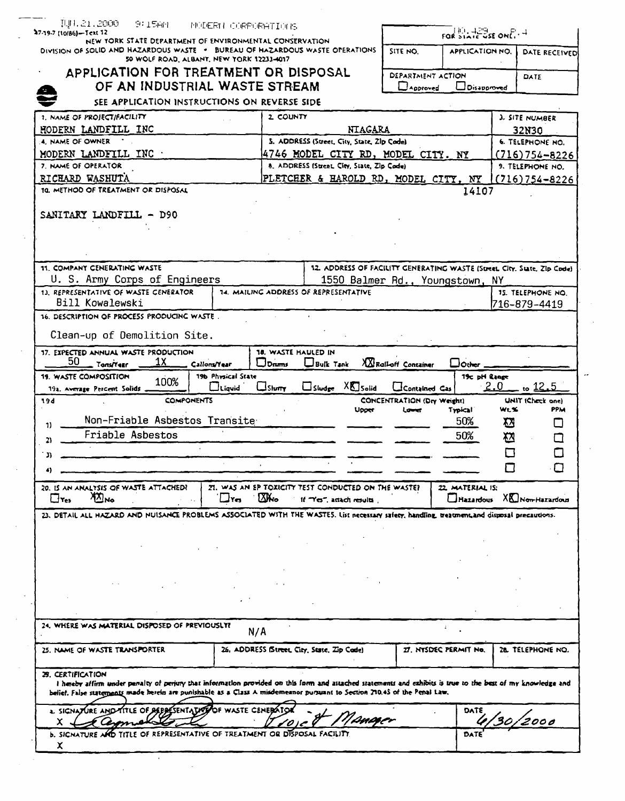| NEW YORK STATE DEPARTMENT OF ENVIRONMENTAL CONSERVATION<br>DIVISION OF SOLID AND HAZARDOUS WASTE . BUREAU OF HAZARDOUS WASTE OPERATIONS                                                                                                                                                                               |                     |                                        |                                                                                    | SITE NO.                             | <b>APPLICATION NO.</b>       |     | <b>DATE RECEIVED</b>                      |
|-----------------------------------------------------------------------------------------------------------------------------------------------------------------------------------------------------------------------------------------------------------------------------------------------------------------------|---------------------|----------------------------------------|------------------------------------------------------------------------------------|--------------------------------------|------------------------------|-----|-------------------------------------------|
| 50 WOLF ROAD, ALBANT, NEW YORK 12233-4017                                                                                                                                                                                                                                                                             |                     |                                        |                                                                                    |                                      |                              |     |                                           |
| APPLICATION FOR TREATMENT OR DISPOSAL<br>OF AN INDUSTRIAL WASTE STREAM                                                                                                                                                                                                                                                |                     |                                        |                                                                                    | <b>DEPARTMENT ACTION</b><br>Approved | $\sqcup$ Disapproved         |     | DATE                                      |
| SEE APPLICATION INSTRUCTIONS ON REVERSE SIDE                                                                                                                                                                                                                                                                          |                     |                                        |                                                                                    |                                      |                              |     |                                           |
| 1. NAME OF PROJECTIFACILITY                                                                                                                                                                                                                                                                                           |                     | 2 COUNTY                               |                                                                                    |                                      |                              |     | <b>3. SITE NUMBER</b>                     |
| HODERN LANDFILL INC                                                                                                                                                                                                                                                                                                   |                     |                                        | <b>NTAGARA</b>                                                                     |                                      |                              |     | 32N30                                     |
| 4. NAME OF OWNER                                                                                                                                                                                                                                                                                                      |                     |                                        | 5. ADDRESS (Street, City, State, Zlp Code)                                         |                                      |                              |     | <b>6. TELEPHONE NO.</b>                   |
| MODERN LANDFILL INC                                                                                                                                                                                                                                                                                                   |                     |                                        | 4746 MODEL CITY RD, MODEL CITY. NY                                                 |                                      |                              |     | $(716)754 - 8226$                         |
| 7. NAME OF OPERATOR<br>RICHARD WASHUTA                                                                                                                                                                                                                                                                                |                     |                                        | 8. ADDRESS (Street, Clty, State, Zip Code)<br>PLETCHER & HAROLD RD, MODEL CITY, NY |                                      |                              |     | 9. TELEPHONE NO.                          |
| 10. METHOD OF TREATMENT OR DISPOSAL                                                                                                                                                                                                                                                                                   |                     |                                        |                                                                                    |                                      | 14107                        |     | $(716)754 - 8226$                         |
|                                                                                                                                                                                                                                                                                                                       |                     |                                        |                                                                                    |                                      |                              |     |                                           |
| SANITARY LANDFILL - D90                                                                                                                                                                                                                                                                                               |                     |                                        |                                                                                    |                                      |                              |     |                                           |
|                                                                                                                                                                                                                                                                                                                       |                     |                                        |                                                                                    |                                      |                              |     |                                           |
|                                                                                                                                                                                                                                                                                                                       |                     |                                        |                                                                                    |                                      |                              |     |                                           |
|                                                                                                                                                                                                                                                                                                                       |                     |                                        |                                                                                    |                                      |                              |     |                                           |
| 11. COMPANY CENERATING WASTE                                                                                                                                                                                                                                                                                          |                     |                                        | 12. ADDRESS OF FACILITY GENERATING WASTE (Street, City, State, Zip Code)           |                                      |                              |     |                                           |
| U. S. Army Corps of Engineers                                                                                                                                                                                                                                                                                         |                     |                                        | 1550 Balmer Rd., Youngstown, NY                                                    |                                      |                              |     |                                           |
| 13. REPRESENTATIVE OF WASTE CENERATOR<br>Bill Kowalewski                                                                                                                                                                                                                                                              |                     |                                        | <b>14. MAILING ADDRESS OF REPRESENTATIVE</b>                                       |                                      |                              |     | <b>15. TELEPHONE NO.</b><br>1716–879–4419 |
| 16. DESCRIPTION OF PROCESS PRODUCING WASTE.                                                                                                                                                                                                                                                                           |                     |                                        |                                                                                    |                                      |                              |     |                                           |
|                                                                                                                                                                                                                                                                                                                       |                     |                                        |                                                                                    |                                      |                              |     |                                           |
| Clean-up of Demolition Site.                                                                                                                                                                                                                                                                                          |                     |                                        |                                                                                    |                                      |                              |     |                                           |
| 17. EXPECTED ANNUAL WASTE PRODUCTION<br>50<br>1Χ<br>Tons/Year                                                                                                                                                                                                                                                         | <b>Callons/Year</b> | 18. WASTE HAULED IN<br>$\square$ Drums | <b>Bulk Tank</b>                                                                   | XX Rall-off Container                | $\Box$ Other                 |     |                                           |
| <b>19. WASTE COMPOSITION</b><br>100%                                                                                                                                                                                                                                                                                  | 19b Physical State  |                                        |                                                                                    |                                      | 19c pH Range                 |     |                                           |
| 19a. Average Percent Solids                                                                                                                                                                                                                                                                                           | $\Box$ Liqvid       | $\Box$ Shurry                          | $\Box$ Sludge $X\Box$ Solid                                                        | Contained Cas                        |                              | 2.0 | 12.5                                      |
| <b>COMPONENTS</b><br>194                                                                                                                                                                                                                                                                                              |                     |                                        |                                                                                    | CONCENTRATION (Dry Weight)           | Typical                      | WLS | UNIT (Check one)<br>PPM                   |
|                                                                                                                                                                                                                                                                                                                       |                     |                                        |                                                                                    |                                      |                              |     |                                           |
| Non-Friable Asbestos Transite                                                                                                                                                                                                                                                                                         |                     |                                        | Upper                                                                              | Lower                                |                              |     |                                           |
| $\mathbf{v}$<br>Friable Asbestos                                                                                                                                                                                                                                                                                      |                     |                                        |                                                                                    |                                      | 50%                          | 囚   | U                                         |
| 21                                                                                                                                                                                                                                                                                                                    |                     |                                        |                                                                                    |                                      | 50%                          | 囟   | □                                         |
| ת                                                                                                                                                                                                                                                                                                                     |                     |                                        |                                                                                    |                                      |                              | П   | Г 1                                       |
|                                                                                                                                                                                                                                                                                                                       |                     |                                        |                                                                                    |                                      |                              |     |                                           |
| 20. IS AN ANALYSIS OF WASTE ATTACHED?                                                                                                                                                                                                                                                                                 |                     |                                        | ZI. WAS AN EP TOXICITY TEST CONDUCTED ON THE WASTE?                                |                                      | 22 MATERIAL IS:              |     |                                           |
| $\sum_{\mathbf{M}}$<br>$\Box$ Tes                                                                                                                                                                                                                                                                                     | Liyes.              | <b>XX</b> <sub>1</sub>                 | If "Yes", attach results                                                           |                                      |                              |     | $\Box$ Hazardous $X\Box$ Non-Hazardous    |
|                                                                                                                                                                                                                                                                                                                       |                     |                                        |                                                                                    |                                      |                              |     |                                           |
| 23. DETAIL ALL HAZARD AND NUISANCE PROBLEMS ASSOCIATED WITH THE WASTES. List necessary safeer, handling, treatment,and disposal precautions.                                                                                                                                                                          |                     |                                        |                                                                                    |                                      |                              |     |                                           |
|                                                                                                                                                                                                                                                                                                                       |                     |                                        |                                                                                    |                                      |                              |     |                                           |
|                                                                                                                                                                                                                                                                                                                       |                     |                                        |                                                                                    |                                      |                              |     |                                           |
|                                                                                                                                                                                                                                                                                                                       |                     |                                        |                                                                                    |                                      |                              |     |                                           |
|                                                                                                                                                                                                                                                                                                                       |                     |                                        |                                                                                    |                                      |                              |     |                                           |
|                                                                                                                                                                                                                                                                                                                       |                     |                                        |                                                                                    |                                      |                              |     |                                           |
|                                                                                                                                                                                                                                                                                                                       |                     |                                        |                                                                                    |                                      |                              |     |                                           |
|                                                                                                                                                                                                                                                                                                                       | N/A                 |                                        | 26, ADDRESS IStreet, City, State, Zip Code)                                        |                                      | <b>IT. NYSDEC PERMIT NO.</b> |     | ZE TELEPHONE NO.                          |
|                                                                                                                                                                                                                                                                                                                       |                     |                                        |                                                                                    |                                      |                              |     |                                           |
| <b>29. CERTIFICATION</b><br>I hereby affirm under penalty of perjury that information provided on this form and attached statements and exhibits is true to the best of my knowledge and<br>belief. False statements made herein are punishable as a Class A misdemeanor pursuant to Section 210.45 of the Penal Law. |                     |                                        |                                                                                    |                                      |                              |     |                                           |
| 24. WHERE WAS MATERIAL DISPOSED OF PREVIOUSLY?<br>25. NAME OF WASTE TRANSPORTER<br>2. SIGNATURE AND TITLE OF DEPRESENTATIVE OF WASTE CENERATOR                                                                                                                                                                        |                     |                                        |                                                                                    |                                      | DATE                         |     |                                           |
| x.<br><b>b. SIGNATURE AND TITLE OF REPRESENTATIVE OF TREATMENT OR DISPOSAL FACILITY</b>                                                                                                                                                                                                                               |                     |                                        | 'Dørsøer                                                                           |                                      | DATE                         |     |                                           |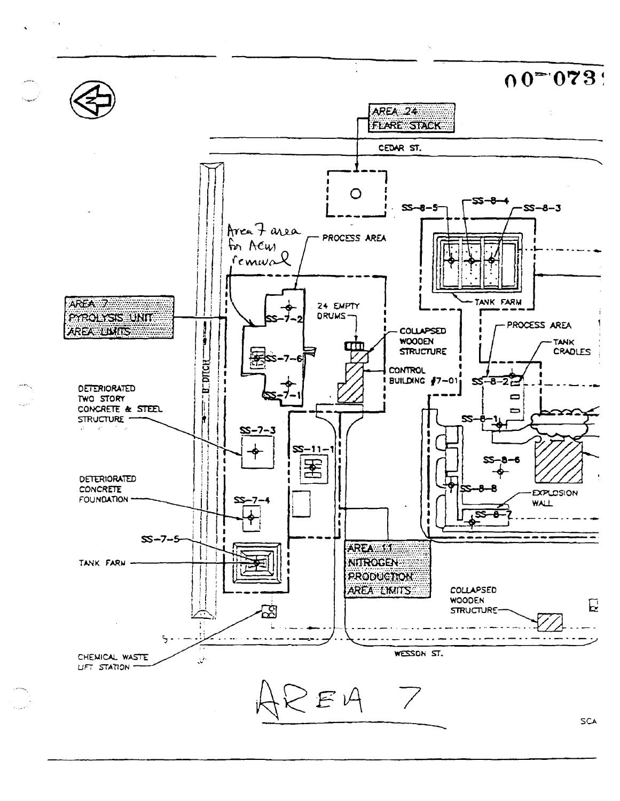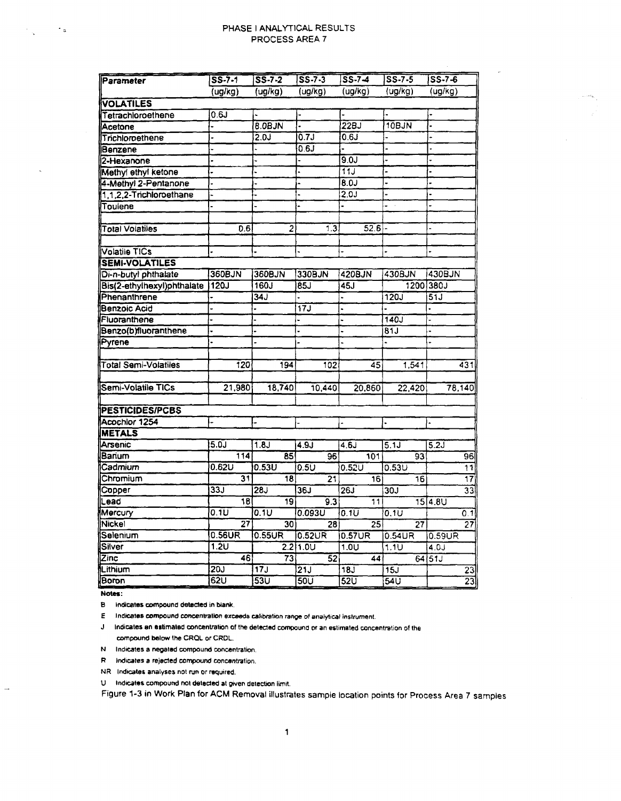### PHASE I ANALYTICAL RESULTS PROCESS AREA 7

| Parameter                  | $55 - 7 - 1$    | $55 - 7 - 2$     | $S S - 7 - 3$     | $S S - 7 - 4$    | $SS - 7 - 5$      | $S5 - 7 - 6$    |
|----------------------------|-----------------|------------------|-------------------|------------------|-------------------|-----------------|
|                            | ug/kg)          | (ug/kg)          | (ug/kg)           | (ug/kg)          | (ug/kg)           | (ug/kg)         |
| <b>VOLATILES</b>           |                 |                  |                   |                  |                   |                 |
| Tetrachloroethene          | 0.6J            |                  |                   |                  |                   |                 |
| Acetone                    |                 | <b>8.0BJN</b>    |                   | 22BJ             | 10BJN             |                 |
| Trichloroethene            |                 | 2.0J             | 0.7J              | 0.6J             |                   |                 |
| Benzene                    |                 |                  | 0.6J              |                  |                   |                 |
| 2-Hexanone                 |                 |                  |                   | 9.0J             |                   |                 |
| Methyl ethyl ketone        | $\overline{ }$  |                  |                   | 11J              |                   |                 |
| 4-Methyl 2-Pentanone       |                 |                  |                   | 8.OJ             |                   |                 |
| 1,1,2,2-Trichloroethane    |                 |                  |                   | 2.0J             |                   |                 |
| Toulene                    |                 |                  |                   |                  | $\sim$            |                 |
|                            |                 |                  |                   | 52.6             |                   |                 |
| <b>Total Volatiles</b>     | 0.6             | $\overline{2}$   | 1.3               |                  |                   |                 |
| <b>Volatile TICs</b>       |                 |                  |                   |                  |                   |                 |
| <b>SEMI-VOLATILES</b>      |                 |                  |                   |                  |                   |                 |
| Di-n-butyl phthalate       | 360BJN          | 360BJN           | 330BJN            | 420BJN           | 430BJN            | 430BJN          |
| Bis(2-ethylhexyl)phthalate | 120J            | 160J             | 85J               | 45J              |                   | 1200 380J       |
| Phenanthrene               |                 | 34J              |                   |                  | 120J              | 51J             |
| Benzoic Acid               |                 |                  | $\overline{17J}$  |                  |                   |                 |
| Fluoranthene               |                 |                  |                   |                  | 140J              |                 |
| Benzo(b)fluoranthene       |                 |                  |                   |                  | 81J               |                 |
| Pyrene                     |                 |                  |                   |                  |                   |                 |
| Total Semi-Volatiles       | 120             | 194              | 102               | 45               | 1,541             | 431             |
| Semi-Volatile TICs         | 21,980          | 18,740           | 10,440            | 20,860           | $\sqrt{22,420}$   | 78,140          |
| PESTICIDES/PCBS            |                 |                  |                   |                  |                   |                 |
| Acochlor 1254              |                 |                  |                   |                  |                   | ۰               |
| <b>METALS</b>              |                 |                  |                   |                  |                   |                 |
| Arsenic                    | 5.0J            | 1.8J             | 4.9J              | 4.6J             | 5.1J              | 5.2J            |
| Barium                     | 114             | 85               | 96                | 101              | 93                | 96              |
| Cadmium                    | 0.62U           | 0.53U            | $0.5\overline{U}$ | 0.52U            | 0.53U             | 11              |
| Chromium                   | 31              | 18               | 21                | 16               | 16                | $\overline{17}$ |
| Copper                     | <b>33J</b>      | <b>28J</b>       | 36J               | 26J              | 30J               | 33              |
| Lead                       | 18              | 19               | 9.3               | 11               |                   | 15   4.8 U      |
| Mercury                    | 0.1U            | 0.1U             | 0.093U            | 0.1U             | $0.1\overline{U}$ | 0.1             |
| Nickel                     | $\overline{27}$ | 301              | 28                | 25 <sub>5</sub>  | 27                | 27              |
| Selenium                   | 0.56UR          | 0.55UR           | $0.52$ UR         | 0.57UR           | $0.54$ UR         | 0.59UR          |
| Silver                     | 1.2U            |                  | 2.211.0U          | 1.0U             | 1.1U              | 4.0J            |
| Zinc                       | 46              | 73               | $\overline{5}2$   | 44               |                   | 64 51J          |
| Lithium                    | <b>20J</b>      | 17J              | $\overline{21J}$  | <b>18J</b>       | 15J               | $\overline{23}$ |
| lBoron                     | 62U             | $\overline{530}$ | 50U               | $52\overline{U}$ | 540               | 23              |

**Notes:**

 $\sim$   $\sim$   $\mu$ 

 $\Delta \mathbf{r}$ 

B indicates compound detected in blank.

E Indicates compound concentration exceeds calibration range of analytical instrument

J Indicates an estimated concentration of the detected compound or an estimated concentration of the compound below the CRQL or CRDL.

N Indicates a negated compound concentration.

R Indicates a rejected compound concentration.

NR Indicates analyses not run or required.

U Indicates compound not detected at given detection limit.

Figure 1-3 in Work Plan for ACM Removal illustrates sample location points for Process Area 7 samples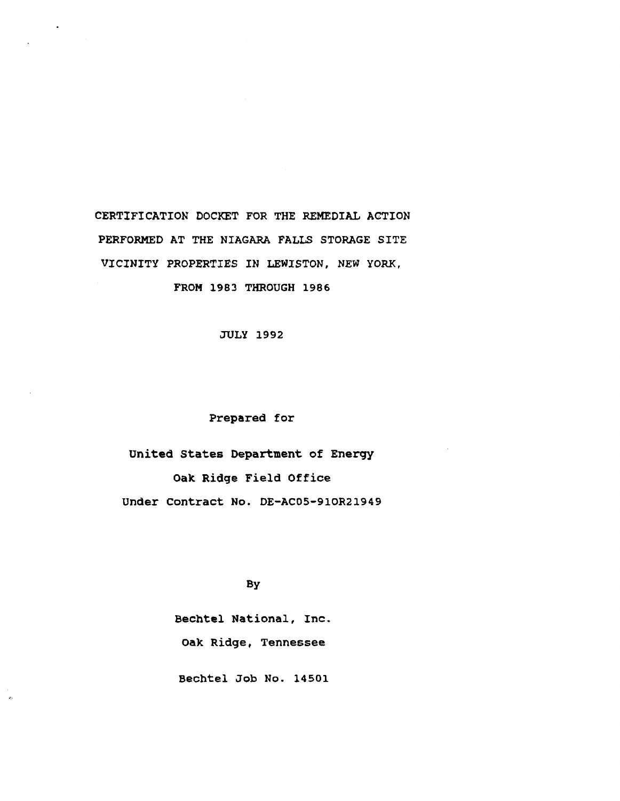CERTIFICATION DOCKET FOR THE REMEDIAL ACTION PERFORMED AT THE NIAGARA FALLS STORAGE SITE VICINITY PROPERTIES IN LEWISTON, NEW YORK, FROM 1983 THROUGH 1986

JULY 1992

## Prepared for

United States Department of Energy Oak Ridge Field Office Under Contract No. DE-AC05-91OR21949

# By

Bechtel National, Inc. Oak Ridge, Tennessee

Bechtel Job No. 14501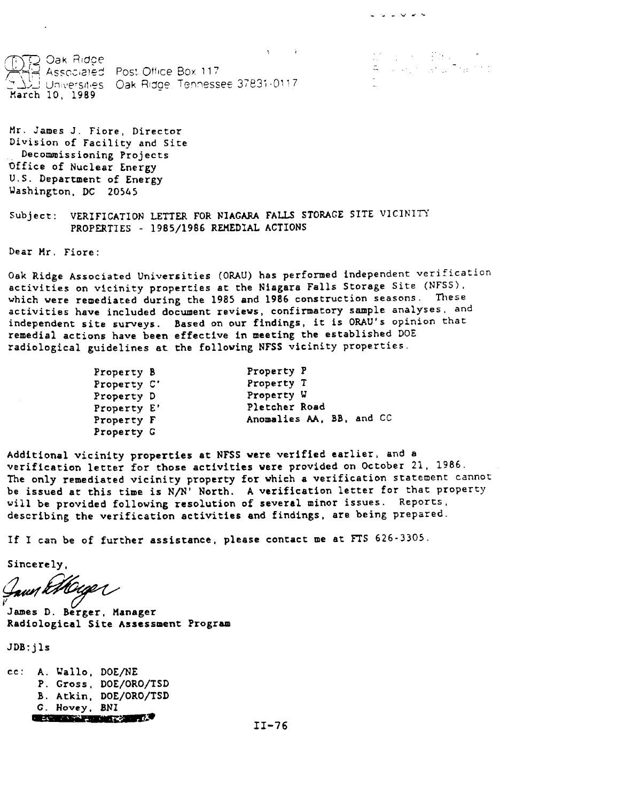\"Q Oak Ridce •'•' ' '•''••\_ **Associated Post Otlice Box 117** Universities Oak Ridge, Tennessee 37831-0117 **March 10, 1989**

**Mr. James J. Fiore, Director Division of Facility and Site Decommissioning Projects Office of Nuclear Energy U.S. Department of Energy Washington. DC 20565**

**Subject: VERIFICATION LETTER FOR NIAGARA FALLS STORAGE SITE VICINITY PROPERTIES - 1985/1986 REMEDIAL ACTIONS**

**Dear Mr. Fiore:**

**Oak Ridge Associated Universities (ORAU) has performed independent verification activities on vicinity properties at the Niagara Falls Storage Site (NFSS), which were remediated during the 1985 and 1986 construction seasons. These activities have included document reviews, confirmatory sample analyses, and independent site surveys. Based on our findings, it is ORAU's opinion that remedial actions have been effective in meeting the established DOE radiological guidelines at the following NFSS vicinity properties.**

いじじししし

| Property B  | Property P               |
|-------------|--------------------------|
| Property C' | Property T               |
| Property D  | Property W               |
| Property E' | Pletcher Road            |
| Property F  | Anomalies AA, BB, and CC |
| Property G  |                          |

**Additional vicinity properties at NFSS were verified earlier, and a verification letter for those activities were provided on October 21. 1986. The only remediated vicinity property for which a verification statement cannot be issued at this time is N/N' North. A verification letter for that property will be provided following resolution of several minor issues. Reports, describing the verification activities and findings, are being prepared.**

**If I can be of further assistance, please contact me at FTS 626-3305.**

**Sincerely,**

Jawn Ethouge

**James D. Berger, Manager Radiological Site Assessment Program**

**JDB:jls**

**cc: A. Uallo, DOE/NE P. Gross, DOE/ORO/TSD B. Atkin. DOE/ORO/TSD G. Hovey, BNI**

11-76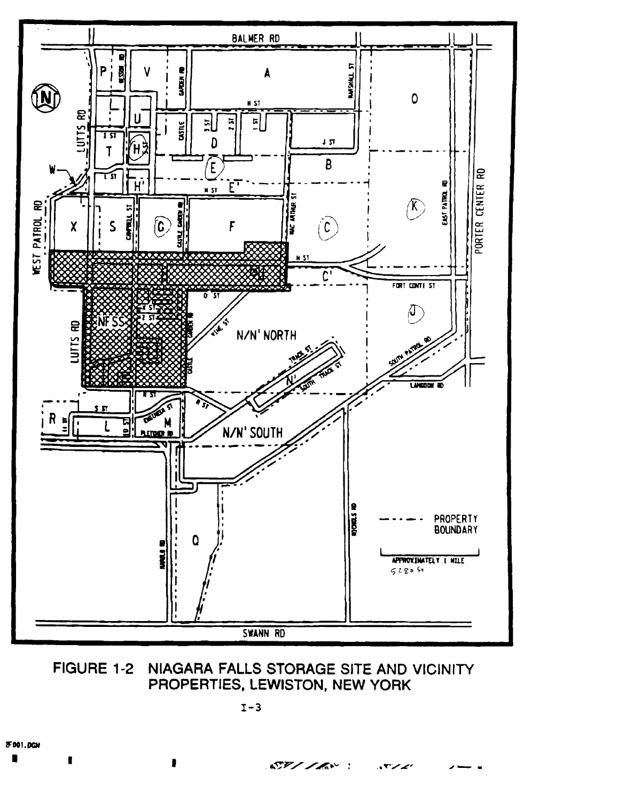

#### FIGURE 1-2 NIAGARA FALLS STORAGE SITE AND VICINITY PROPERTIES, LEWISTON, NEW YORK

 $ST/IR^{\circ}$  :

ュヤンノ

 $\blacksquare$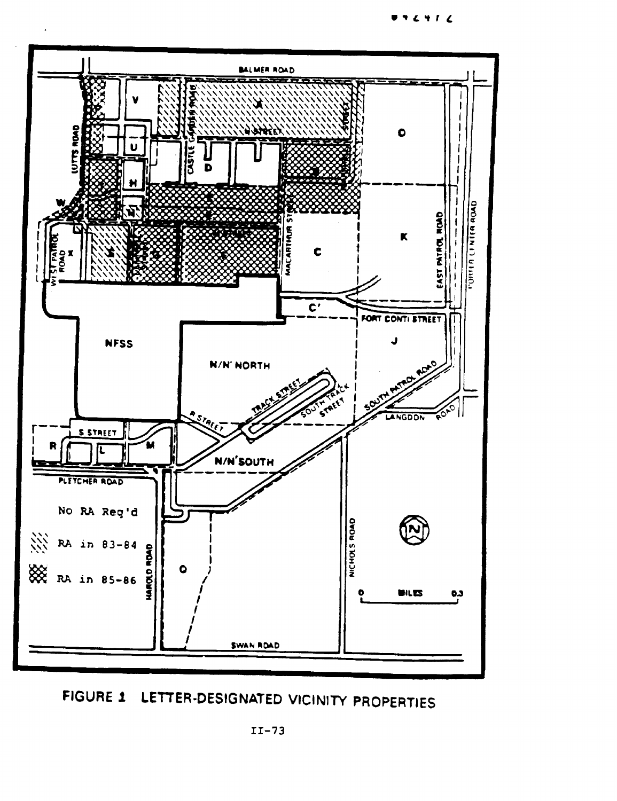BALMER ROAD **PIACE** 0 **USIL**  $\bar{\mathbf{b}}$ K



**FIGURE 1 LETTER-DESIGNATED VICINITY PROPERTIES**

 $972912$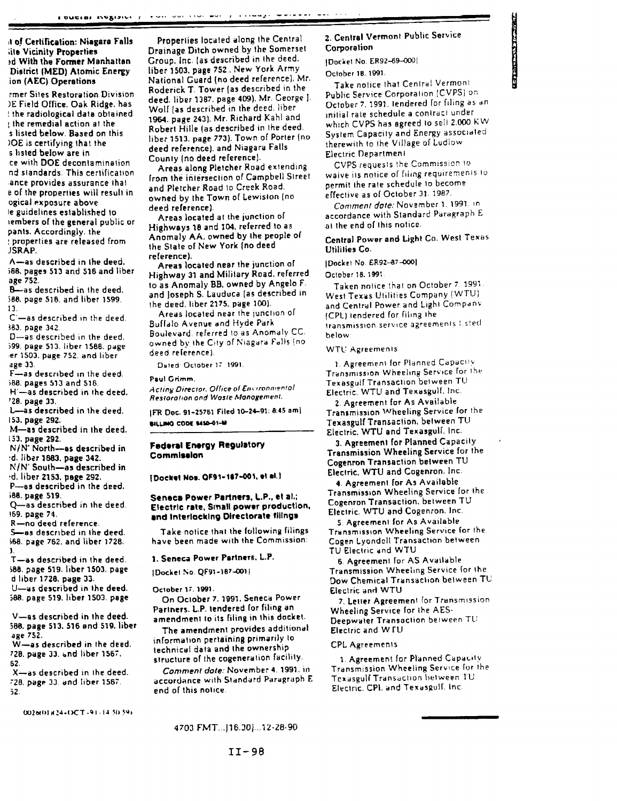#### il **of Certification: Niagara** Falls lite Vicinity **Properties** sd **With the Former Manhattan** District **(MED) Atomic Energy** ion **(AEC) Operations**

rmer Siles Restoration Division )E Field Office. Oak Ridge, has ! the radiological data obtained I the remedial action at the s **listed** below. Baaed on this JOE is certifying thai the s listed below are in ce with DOE decontamination nd standards This certification ance provides assurance thai e of the properties will result in ogical exposure above le guidelines established to iembers of the general public or pants. Accordingly, the : properties are released from JSRAP.

A—as described in the deed. >8B. pages 513 and 516 and liber age 752.

B—as described in the deed. SB6. page SIB, and liber 1599. **13.**

C—as described in the deed. »83. page 342

D—as described in the deed. J99. page 513. liber 1568. page er 1503, page 752. and liber age 33.

F—as described in the deed. 588. pages 513 and 516.

H'—as described in the deed. '28. page 33.

L—as described in the deed. 153. page 292.

M—as described in the deed. 153. page 292.

N/N" North—as described in :d. liber 1883. page 342.

**N/N' South—as described in •d. liber 2153. page 292.**

P—as described in the deed.

>B8. page 519. Q—as described in the deed. 169. page 74.

R—no deed reference.

S—as described in the deed. >68. page 762. and liber 1726. **J**

T—as described in the deed. 588. page 519. liber 1503. page d liber 1728. page 33.

U—as described in the deed. 588. page 519. liber 1503. page

V—as described in the deed. 388. page 513. 516 and 519. liber age 752.

W—as described in the deed. 728. page 33. and liber 1567. 52.

X—as described in ihe deed. "28. page 30 and liber 1567 52.

**UUJbUHMI-l-OCT- <sup>1</sup> \* ! -1 4 M ) <«>**

Properties located along the Central Drainage Ditch owned by the Somerset Croup, Inc. (as described in the deed. liber 1503. page 752 . New York Army National Guard (no deed reference). Mr. Roderick T. Tower (as described in the deed, liber 1387. page 409). Mr, George J. Wolf [as described in the deed, liber 1964. page 243). Mr. Richard Kahl and Robert Hille (as described in Ihe deed, liber 1513. page 773). Town of Porter (no deed reference), and Niagara Falls County (no deed reference].

Areas along Fletcher Road extending from the intersection of Campbell Slreel and Fletcher Road to Creek Road, owned by Ihe Town of Lewision (no deed reference).

Areas located at the junction of Highways 18 and 104, referred to as Anomaly AA. owned by Ihe people of the State of New York (no deed reference).

Areas located near the junction of Highway 31 and Military Road, referred to as Anomaly 8B. owned by Angelo F. and Joseph S. Lauduca (as described in the deed, liber 2175. page 100).

Areas located near the junction of Buffalo Avenue and Hyde Park Boulevard, referred !o as Anomaly CC. owned by ihe City of Niagara Foils [no deed reference)

Duied October IT 1991

**P»ul Grimm,**

**Acting Director. Office of Environmental** Restoration and Woste Management.

**|FR Doc 91-25761 Filed 10-24-91; 6:45** ami **•ILUMO CODC MSO-Ol-M**

#### **Federal Energy Regulatory Commleelon**

**f Docket No». OF91-1I7-001. el •!.)**

#### **Seneca Power Partners, L.P., et al.; Electric rate. Small power production, and Interlocking Directorate** tilings

Take notice that the following filings have been made with the Commission:

#### **1. Seneca Power Partners. L.P.**

IDockei No QF91-1B7-O01|

October 17, 1991.

On Oclober 7. 1991. Seneca Power Partners. L.P. tendered for filing an amendment lo its filing in this docket.

The amendment provides additional information pertaining primarily lo technical data and Ihe ownership structure of Ihe cogeneration facility.

Comment date: November 4. 1991. in accordance with Standard Paragraph E end of this notice

### 2. Central Vermont Public Service Corporation

|Docliel No ER92-69-0O0I

Oclober IB. **1991.**

Take nolice that Centra! Vermoni Public Service Corporation (CVPS) or, October 7, 1991. lendered for filing as an inilial rate schedule a conlracl under which CVPS has agreed lo sell 2.000 KW Syslem Capacily and Energy associated therewith to the Village of Ludiow Electric Department

りきわら かんこうきょう アール・パーク

CVPS requests 'he Commission to waive its notice of filing requirements lo permit ihe rate schedule lo become effective as of Oclober 31. 1987.

Comment dote: November 1. 1991. in accordance with Standard Paragraph E al Ihe end of Ihis notice.

### Central Power and Light Co. West Texas Utilities Co.

## [Docket No. ER92-87-000]

October 18. 5991

Taken nolice that on October 7 1991 West Texas Utilities Company (WTU) and Central Power and Lighi Companv (CPL) lendered for filing ihe Iransmission service agreements listed below:

WTU Agreemenls

1 Agreemenl for Planned Capacity Transmission Wheeling Service For ihe Texasgulf Transaction between TU Electric. WTU and Texasgulf. !nc

2. Agreement for As Available Transmission Wheeling Service for the Texasgulf Transaction, between TU Electric. WTU and Texasgulf. Inc.

3. Agreement for Planned Capacily Transmission Wheeling Service for the Cogenron Transaction between TU Electric. WTU and Cogenron. Inc.

4. Agreement for As Available Transmission Wheeling Service for the Cogenron Transaction, between TU Electric. WTU and Cogenron. Inc.

5. Agreement for As Available Transmission Wheeling Service for the Cogen Lyondell Transaction between TU Electric and WTU

6. Agreement for AS Available Transmission Wheeling Service for ihe Dow Chemical Transaction between TU Electric and WTU

7. Letter Agreemenl for Transmission Wheeling Service for ihe AES-Deepwaler Transaction between TU Electric and W TU

#### CPL Agreements

1. Agreement for Planned Capacity Transmission Wheeling Service for the Texasgulf Transaction between TU Electric. CPI. and Texasgulf. Inc.